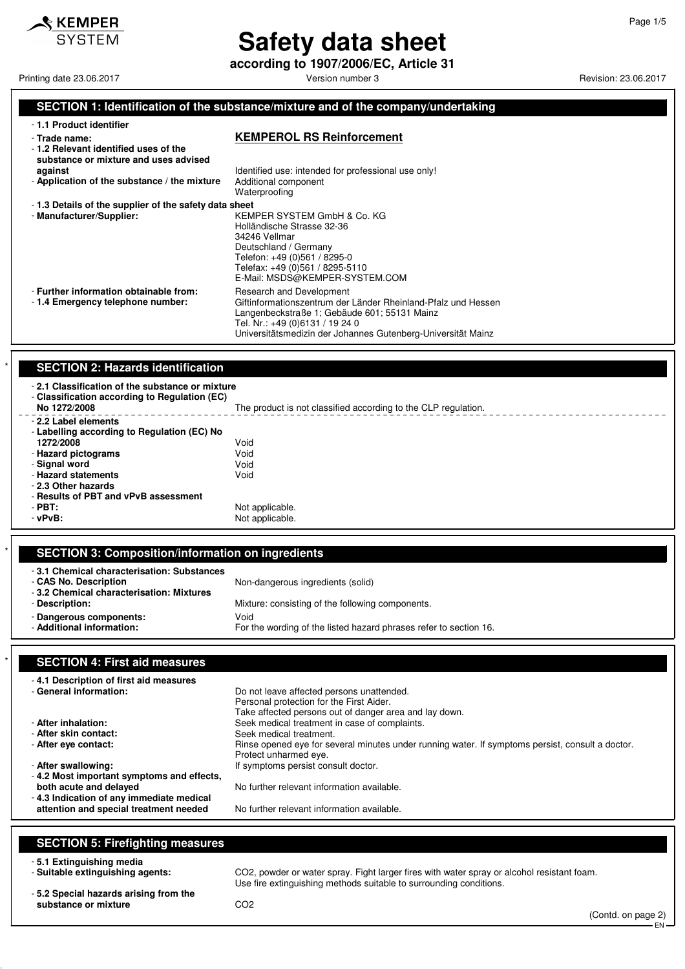

# **Safety data sheet**

**according to 1907/2006/EC, Article 31**

Printing date 23.06.2017 **Printing date 23.06.2017** Version number 3 Revision: 23.06.2017

### **SECTION 1: Identification of the substance/mixture and of the company/undertaking**

| -1.1 Product identifier |  |
|-------------------------|--|
|-------------------------|--|

- **1.2 Relevant identified uses of the**

#### - **Trade name: KEMPEROL RS Reinforcement**

| substance or mixture and uses advised<br>against<br>- Application of the substance / the mixture | Identified use: intended for professional use only!<br>Additional component<br>Waterproofing                                                                                                                                                 |
|--------------------------------------------------------------------------------------------------|----------------------------------------------------------------------------------------------------------------------------------------------------------------------------------------------------------------------------------------------|
| -1.3 Details of the supplier of the safety data sheet<br>- Manufacturer/Supplier:                | KEMPER SYSTEM GmbH & Co. KG<br>Holländische Strasse 32-36<br>34246 Vellmar<br>Deutschland / Germany<br>Telefon: +49 (0)561 / 8295-0<br>Telefax: +49 (0)561 / 8295-5110<br>E-Mail: MSDS@KEMPER-SYSTEM.COM                                     |
| - Further information obtainable from:<br>-1.4 Emergency telephone number:                       | Research and Development<br>Giftinformationszentrum der Länder Rheinland-Pfalz und Hessen<br>Langenbeckstraße 1; Gebäude 601; 55131 Mainz<br>Tel. Nr.: +49 (0)6131 / 19 24 0<br>Universitätsmedizin der Johannes Gutenberg-Universität Mainz |

#### **SECTION 2: Hazards identification**

| -2.1 Classification of the substance or mixture<br>- Classification according to Regulation (EC)<br>No 1272/2008 | The product is not classified according to the CLP regulation. |
|------------------------------------------------------------------------------------------------------------------|----------------------------------------------------------------|
| - 2.2 Label elements                                                                                             |                                                                |
| - Labelling according to Regulation (EC) No                                                                      |                                                                |
| 1272/2008                                                                                                        | Void                                                           |
| - Hazard pictograms                                                                                              | Void                                                           |
| - Signal word                                                                                                    | Void                                                           |
| - Hazard statements                                                                                              | Void                                                           |
| - 2.3 Other hazards                                                                                              |                                                                |
| - Results of PBT and vPvB assessment                                                                             |                                                                |
| $-$ PBT:                                                                                                         | Not applicable.                                                |
| - vPvB:                                                                                                          | Not applicable.                                                |
|                                                                                                                  |                                                                |

### \* **SECTION 3: Composition/information on ingredients**

| -3.1 Chemical characterisation: Substances<br>- CAS No. Description<br>-3.2 Chemical characterisation: Mixtures | Non-dangerous ingredients (solid)                                         |
|-----------------------------------------------------------------------------------------------------------------|---------------------------------------------------------------------------|
| - Description:                                                                                                  | Mixture: consisting of the following components.                          |
| - Dangerous components:<br>- Additional information:                                                            | Void<br>For the wording of the listed hazard phrases refer to section 16. |

### **SECTION 4: First aid measures**

| -4.1 Description of first aid measures<br>- General information:                                                                                          | Do not leave affected persons unattended.<br>Personal protection for the First Aider.                                                                                                                                                                           |
|-----------------------------------------------------------------------------------------------------------------------------------------------------------|-----------------------------------------------------------------------------------------------------------------------------------------------------------------------------------------------------------------------------------------------------------------|
| - After inhalation:<br>- After skin contact:<br>- After eye contact:                                                                                      | Take affected persons out of danger area and lay down.<br>Seek medical treatment in case of complaints.<br>Seek medical treatment.<br>Rinse opened eye for several minutes under running water. If symptoms persist, consult a doctor.<br>Protect unharmed eye. |
| - After swallowing:                                                                                                                                       | If symptoms persist consult doctor.                                                                                                                                                                                                                             |
| -4.2 Most important symptoms and effects,<br>both acute and delayed<br>-4.3 Indication of any immediate medical<br>attention and special treatment needed | No further relevant information available.<br>No further relevant information available.                                                                                                                                                                        |
|                                                                                                                                                           |                                                                                                                                                                                                                                                                 |

### **SECTION 5: Firefighting measures**

- **5.1 Extinguishing media**

CO2, powder or water spray. Fight larger fires with water spray or alcohol resistant foam. Use fire extinguishing methods suitable to surrounding conditions.

- **5.2 Special hazards arising from the** substance or mixture **CO2** 

(Contd. on page 2) EN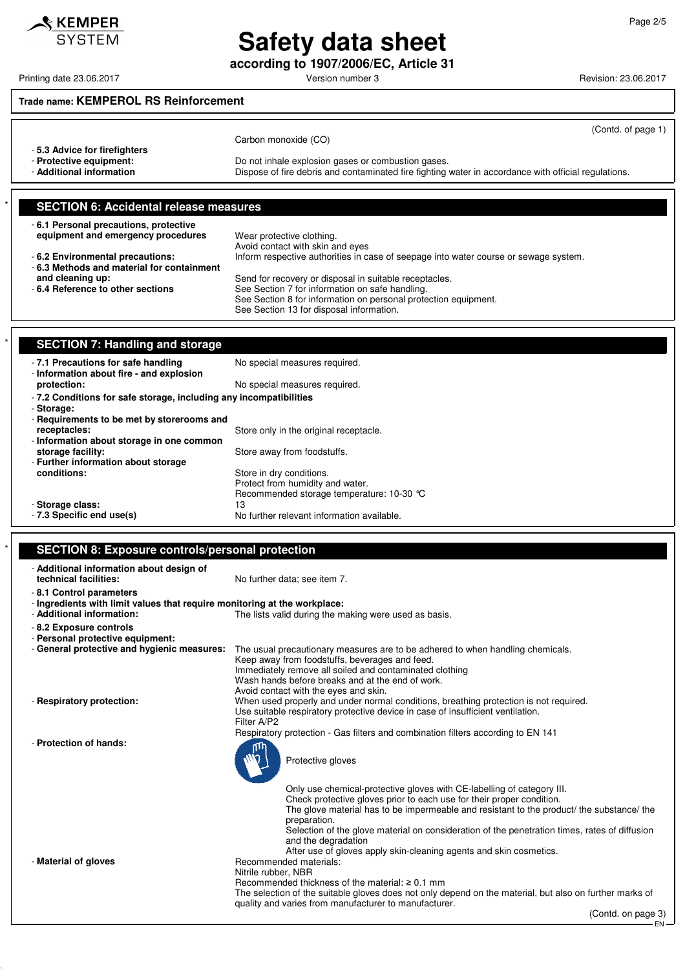# **Safety data sheet**

**according to 1907/2006/EC, Article 31**

## **Trade name: KEMPEROL RS Reinforcement**

| -5.3 Advice for firefighters<br>- Protective equipment:<br>- Additional information               | (Contd. of page 1)<br>Carbon monoxide (CO)<br>Do not inhale explosion gases or combustion gases.<br>Dispose of fire debris and contaminated fire fighting water in accordance with official regulations. |
|---------------------------------------------------------------------------------------------------|----------------------------------------------------------------------------------------------------------------------------------------------------------------------------------------------------------|
| <b>SECTION 6: Accidental release measures</b>                                                     |                                                                                                                                                                                                          |
| -6.1 Personal precautions, protective<br>equipment and emergency procedures                       | Wear protective clothing.<br>Avoid contact with skin and eyes                                                                                                                                            |
| - 6.2 Environmental precautions:<br>-6.3 Methods and material for containment<br>and cleaning up: | Inform respective authorities in case of seepage into water course or sewage system.<br>Send for recovery or disposal in suitable receptacles.                                                           |
| - 6.4 Reference to other sections                                                                 | See Section 7 for information on safe handling.<br>See Section 8 for information on personal protection equipment.<br>See Section 13 for disposal information.                                           |
| <b>SECTION 7: Handling and storage</b>                                                            |                                                                                                                                                                                                          |
| - 7.1 Precautions for safe handling<br>- Information about fire - and explosion<br>protection:    | No special measures required.<br>No special measures required.                                                                                                                                           |
| - 7.2 Conditions for safe storage including any incompatibilities                                 |                                                                                                                                                                                                          |

| -7.2 Conditions for safe storage, including any incompatibilities |  |
|-------------------------------------------------------------------|--|
| - Storage:                                                        |  |

| - Requirements to be met by storerooms and |                                            |
|--------------------------------------------|--------------------------------------------|
| receptacles:                               | Store only in the original receptacle.     |
| - Information about storage in one common  |                                            |
| storage facility:                          | Store away from foodstuffs.                |
| - Further information about storage        |                                            |
| conditions:                                | Store in dry conditions.                   |
|                                            | Protect from humidity and water.           |
|                                            | Recommended storage temperature: 10-30 °C  |
| - Storage class:                           | 13                                         |
| - 7.3 Specific end use(s)                  | No further relevant information available. |

## **SECTION 8: Exposure controls/personal protection**

| - Additional information about design of                                  |                                                                                                             |
|---------------------------------------------------------------------------|-------------------------------------------------------------------------------------------------------------|
| technical facilities:                                                     | No further data; see item 7.                                                                                |
| - 8.1 Control parameters                                                  |                                                                                                             |
| - Ingredients with limit values that require monitoring at the workplace: |                                                                                                             |
| - Additional information:                                                 | The lists valid during the making were used as basis.                                                       |
| -8.2 Exposure controls                                                    |                                                                                                             |
| - Personal protective equipment:                                          |                                                                                                             |
| - General protective and hygienic measures:                               | The usual precautionary measures are to be adhered to when handling chemicals.                              |
|                                                                           | Keep away from foodstuffs, beverages and feed.                                                              |
|                                                                           | Immediately remove all soiled and contaminated clothing<br>Wash hands before breaks and at the end of work. |
|                                                                           | Avoid contact with the eyes and skin.                                                                       |
| - Respiratory protection:                                                 | When used properly and under normal conditions, breathing protection is not required.                       |
|                                                                           | Use suitable respiratory protective device in case of insufficient ventilation.                             |
|                                                                           | Filter A/P2                                                                                                 |
|                                                                           | Respiratory protection - Gas filters and combination filters according to EN 141                            |
| - Protection of hands:                                                    |                                                                                                             |
|                                                                           | Protective gloves                                                                                           |
|                                                                           |                                                                                                             |
|                                                                           |                                                                                                             |
|                                                                           | Only use chemical-protective gloves with CE-labelling of category III.                                      |
|                                                                           | Check protective gloves prior to each use for their proper condition.                                       |
|                                                                           | The glove material has to be impermeable and resistant to the product/ the substance/ the<br>preparation.   |
|                                                                           | Selection of the glove material on consideration of the penetration times, rates of diffusion               |
|                                                                           | and the degradation                                                                                         |
|                                                                           | After use of gloves apply skin-cleaning agents and skin cosmetics.                                          |
| - Material of gloves                                                      | Recommended materials:                                                                                      |
|                                                                           | Nitrile rubber, NBR                                                                                         |
|                                                                           | Recommended thickness of the material: $\geq 0.1$ mm                                                        |
|                                                                           | The selection of the suitable gloves does not only depend on the material, but also on further marks of     |
|                                                                           | quality and varies from manufacturer to manufacturer.<br>(Contd. on page 3)                                 |
|                                                                           |                                                                                                             |

# Printing date 23.06.2017 **Principal and COVID-100** Version number 3 Revision: 23.06.2017

 $\mathcal$ **KEMPER SYSTEM** 

EN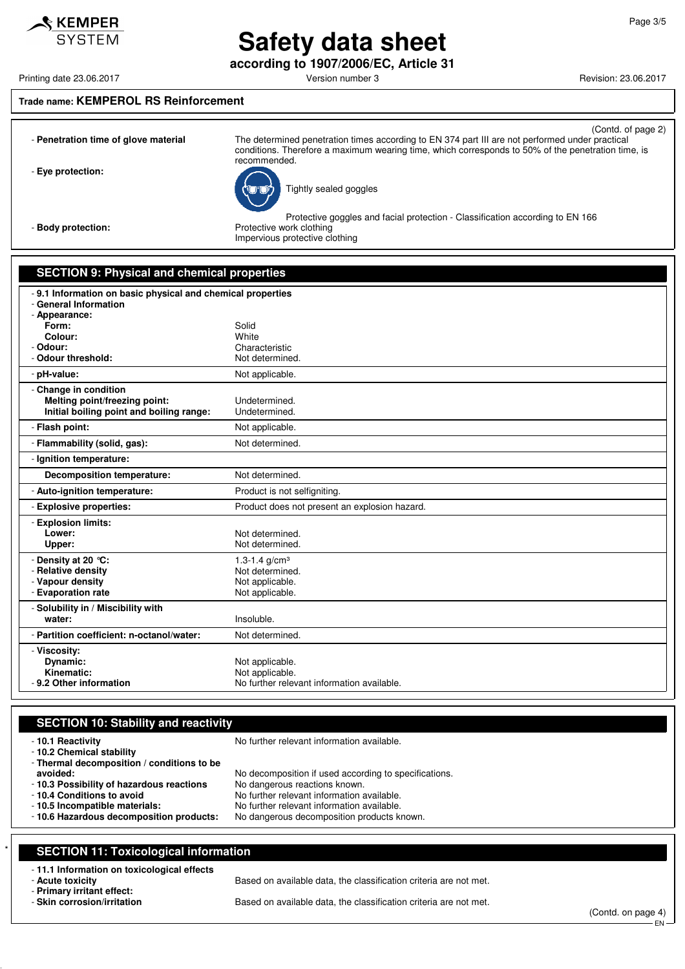# $\mathbf$ **KEMPER** SYSTEM

# **Safety data sheet according to 1907/2006/EC, Article 31**

Printing date 23.06.2017 **Printing date 23.06.2017** Version number 3 Revision: 23.06.2017

### **Trade name: KEMPEROL RS Reinforcement**

|                                      | (Contd. of page 2)                                                                                 |
|--------------------------------------|----------------------------------------------------------------------------------------------------|
| - Penetration time of glove material | The determined penetration times according to EN 374 part III are not performed under practical    |
|                                      | conditions. Therefore a maximum wearing time, which corresponds to 50% of the penetration time, is |
|                                      | recommended.                                                                                       |
| - Eye protection:                    | $\overline{\phantom{1}}$                                                                           |



Tightly sealed goggles

Protective goggles and facial protection - Classification according to EN 166 - **Body protection:** Protective work clothing

Impervious protective clothing

### **SECTION 9: Physical and chemical properties**

| -9.1 Information on basic physical and chemical properties<br>- General Information |                                                               |
|-------------------------------------------------------------------------------------|---------------------------------------------------------------|
| - Appearance:                                                                       |                                                               |
| Form:                                                                               | Solid                                                         |
| Colour:<br>- Odour:                                                                 | White<br>Characteristic                                       |
| - Odour threshold:                                                                  | Not determined.                                               |
| - pH-value:                                                                         | Not applicable.                                               |
| - Change in condition                                                               |                                                               |
| Melting point/freezing point:                                                       | Undetermined.                                                 |
| Initial boiling point and boiling range:                                            | Undetermined.                                                 |
| - Flash point:                                                                      | Not applicable.                                               |
| - Flammability (solid, gas):                                                        | Not determined.                                               |
| - Ignition temperature:                                                             |                                                               |
| <b>Decomposition temperature:</b>                                                   | Not determined.                                               |
| - Auto-ignition temperature:                                                        | Product is not selfigniting.                                  |
| - Explosive properties:                                                             | Product does not present an explosion hazard.                 |
| - Explosion limits:                                                                 |                                                               |
| Lower:                                                                              | Not determined.                                               |
| Upper:                                                                              | Not determined.                                               |
| - Density at 20 °C:                                                                 | 1.3-1.4 $g/cm3$                                               |
| - Relative density                                                                  | Not determined.                                               |
| - Vapour density<br>- Evaporation rate                                              | Not applicable.                                               |
|                                                                                     | Not applicable.                                               |
| - Solubility in / Miscibility with                                                  |                                                               |
| water:                                                                              | Insoluble.                                                    |
| - Partition coefficient: n-octanol/water:                                           | Not determined.                                               |
| - Viscosity:                                                                        |                                                               |
| Dynamic:                                                                            | Not applicable.                                               |
| Kinematic:<br>- 9.2 Other information                                               | Not applicable.<br>No further relevant information available. |
|                                                                                     |                                                               |

### **SECTION 10: Stability and reactivity**

| -10.1 Reactivity<br>- 10.2 Chemical stability<br>- Thermal decomposition / conditions to be | No further relevant information available.                                             |
|---------------------------------------------------------------------------------------------|----------------------------------------------------------------------------------------|
| avoided:<br>-10.3 Possibility of hazardous reactions                                        | No decomposition if used according to specifications.<br>No dangerous reactions known. |
| - 10.4 Conditions to avoid                                                                  | No further relevant information available.                                             |
| - 10.5 Incompatible materials:                                                              | No further relevant information available.                                             |
| -10.6 Hazardous decomposition products:                                                     | No dangerous decomposition products known.                                             |
|                                                                                             |                                                                                        |

# **SECTION 11: Toxicological information**

# - **11.1 Information on toxicological effects**

- **Primary irritant effect:**

Based on available data, the classification criteria are not met.

Based on available data, the classification criteria are not met.

(Contd. on page 4) - EN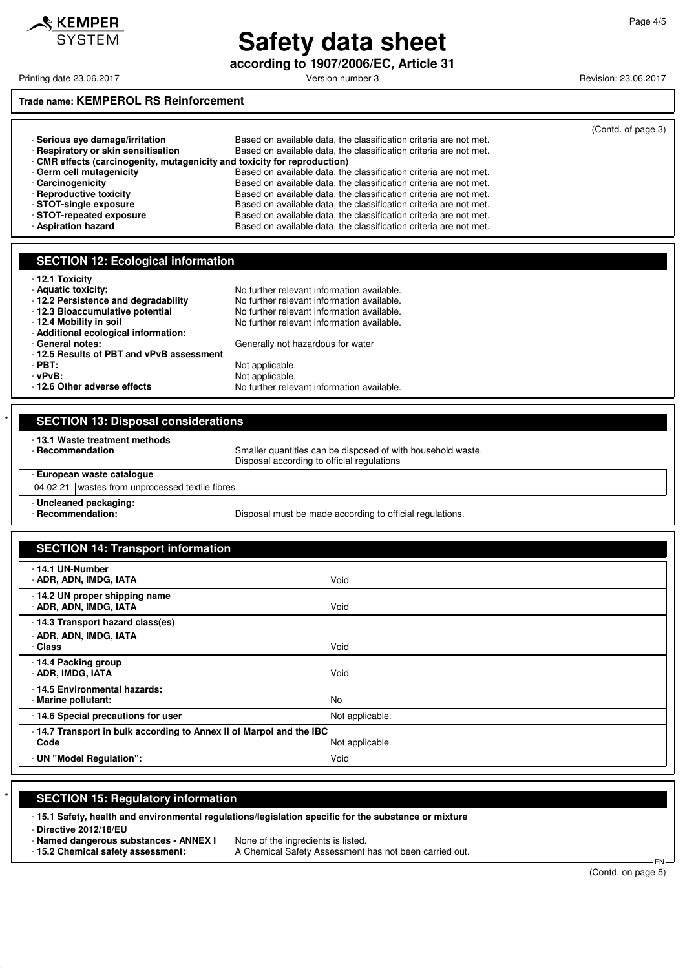

# **Safety data sheet according to 1907/2006/EC, Article 31**

Printing date 23.06.2017 **Printing date 23.06.2017** Version number 3 Revision: 23.06.2017

## **Trade name: KEMPEROL RS Reinforcement**

|                                                                           |                                                                   | (Contd. of page 3) |  |  |
|---------------------------------------------------------------------------|-------------------------------------------------------------------|--------------------|--|--|
| - Serious eve damage/irritation                                           | Based on available data, the classification criteria are not met. |                    |  |  |
| - Respiratory or skin sensitisation                                       | Based on available data, the classification criteria are not met. |                    |  |  |
| - CMR effects (carcinogenity, mutagenicity and toxicity for reproduction) |                                                                   |                    |  |  |
| - Germ cell mutagenicity                                                  | Based on available data, the classification criteria are not met. |                    |  |  |
| - Carcinogenicity                                                         | Based on available data, the classification criteria are not met. |                    |  |  |
| - Reproductive toxicity                                                   | Based on available data, the classification criteria are not met. |                    |  |  |
| - STOT-single exposure                                                    | Based on available data, the classification criteria are not met. |                    |  |  |
| - STOT-repeated exposure                                                  | Based on available data, the classification criteria are not met. |                    |  |  |
| - Aspiration hazard                                                       | Based on available data, the classification criteria are not met. |                    |  |  |

No further relevant information available.

No further relevant information available.

No further relevant information available.

Generally not hazardous for water

Not applicable.

#### **SECTION 12: Ecological information**

|  | 12.1 Toxicity |  |
|--|---------------|--|
|  |               |  |

- **12.1 Toxicity**
- 
- **Aquatic toxicity:**<br>  **12.2 Persistence and degradability** No further relevant information available.
- **12.3 Bioaccumulative potential** No further relevant information available.<br>- **12.4 Mobility in soil** No further relevant information available.
- 
- **Additional ecological information:**
- 
- 

- **12.5 Results of PBT and vPvB assessment - vPvB:**<br> **- 12.6 Other adverse effects Depicable.**<br>
No further relev

| <b>SECTION 13: Disposal considerations</b>         |                                                                                                           |  |
|----------------------------------------------------|-----------------------------------------------------------------------------------------------------------|--|
| - 13.1 Waste treatment methods<br>- Recommendation | Smaller quantities can be disposed of with household waste.<br>Disposal according to official regulations |  |
| - European waste catalogue                         |                                                                                                           |  |
| 04 02 21   wastes from unprocessed textile fibres  |                                                                                                           |  |
| - Uncleaned packaging:<br>- Recommendation:        | Disposal must be made according to official regulations.                                                  |  |

| <b>SECTION 14: Transport information</b>                                    |                 |  |
|-----------------------------------------------------------------------------|-----------------|--|
| - 14.1 UN-Number<br>- ADR, ADN, IMDG, IATA                                  | Void            |  |
| - 14.2 UN proper shipping name<br>- ADR, ADN, IMDG, IATA                    | Void            |  |
| - 14.3 Transport hazard class(es)<br>- ADR, ADN, IMDG, IATA<br>- Class      | Void            |  |
| - 14.4 Packing group<br>- ADR, IMDG, IATA                                   | Void            |  |
| - 14.5 Environmental hazards:<br>- Marine pollutant:                        | No              |  |
| -14.6 Special precautions for user                                          | Not applicable. |  |
| -14.7 Transport in bulk according to Annex II of Marpol and the IBC<br>Code | Not applicable. |  |
| - UN "Model Regulation":                                                    | Void            |  |

### **SECTION 15: Regulatory information**

- **15.1 Safety, health and environmental regulations/legislation specific for the substance or mixture**

- **Directive 2012/18/EU**

- **Named dangerous substances - ANNEX I** None of the ingredients is listed.

- **15.2 Chemical safety assessment:** A Chemical Safety Assessment has not been carried out.

 EN (Contd. on page 5)